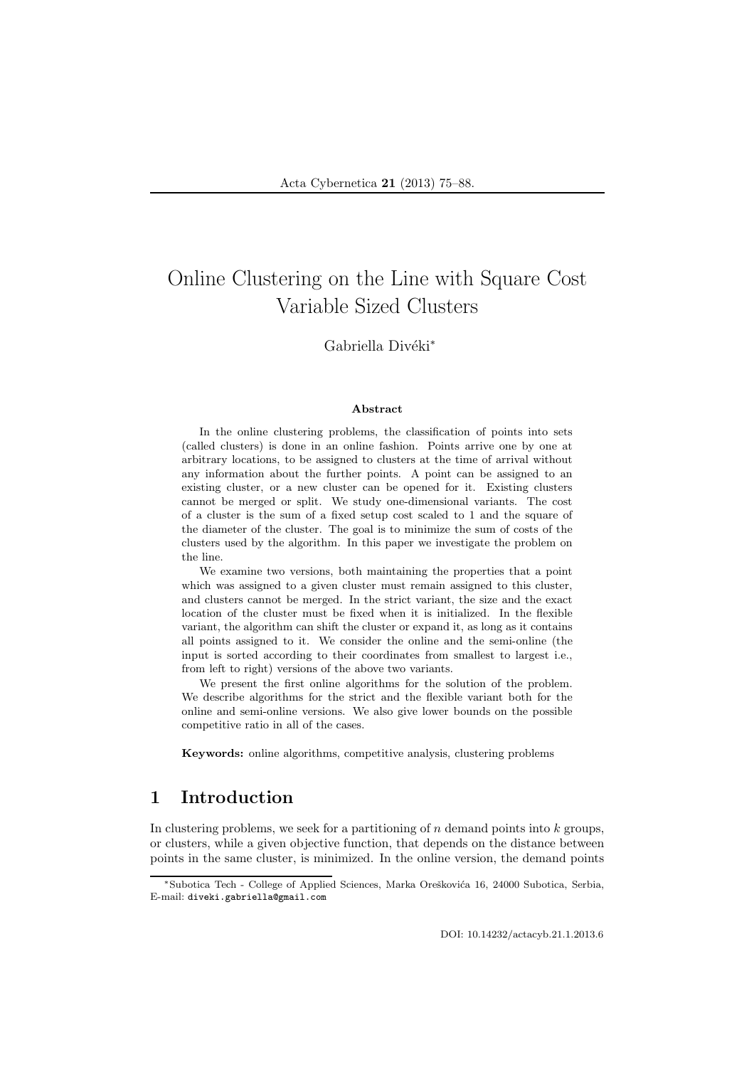# Online Clustering on the Line with Square Cost Variable Sized Clusters

### Gabriella Divéki<sup>\*</sup>

#### Abstract

In the online clustering problems, the classification of points into sets (called clusters) is done in an online fashion. Points arrive one by one at arbitrary locations, to be assigned to clusters at the time of arrival without any information about the further points. A point can be assigned to an existing cluster, or a new cluster can be opened for it. Existing clusters cannot be merged or split. We study one-dimensional variants. The cost of a cluster is the sum of a fixed setup cost scaled to 1 and the square of the diameter of the cluster. The goal is to minimize the sum of costs of the clusters used by the algorithm. In this paper we investigate the problem on the line.

We examine two versions, both maintaining the properties that a point which was assigned to a given cluster must remain assigned to this cluster, and clusters cannot be merged. In the strict variant, the size and the exact location of the cluster must be fixed when it is initialized. In the flexible variant, the algorithm can shift the cluster or expand it, as long as it contains all points assigned to it. We consider the online and the semi-online (the input is sorted according to their coordinates from smallest to largest i.e., from left to right) versions of the above two variants.

We present the first online algorithms for the solution of the problem. We describe algorithms for the strict and the flexible variant both for the online and semi-online versions. We also give lower bounds on the possible competitive ratio in all of the cases.

Keywords: online algorithms, competitive analysis, clustering problems

# 1 Introduction

In clustering problems, we seek for a partitioning of  $n$  demand points into  $k$  groups, or clusters, while a given objective function, that depends on the distance between points in the same cluster, is minimized. In the online version, the demand points

<sup>\*</sup>Subotica Tech - College of Applied Sciences, Marka Oreškovića 16, 24000 Subotica, Serbia, E-mail: diveki.gabriella@gmail.com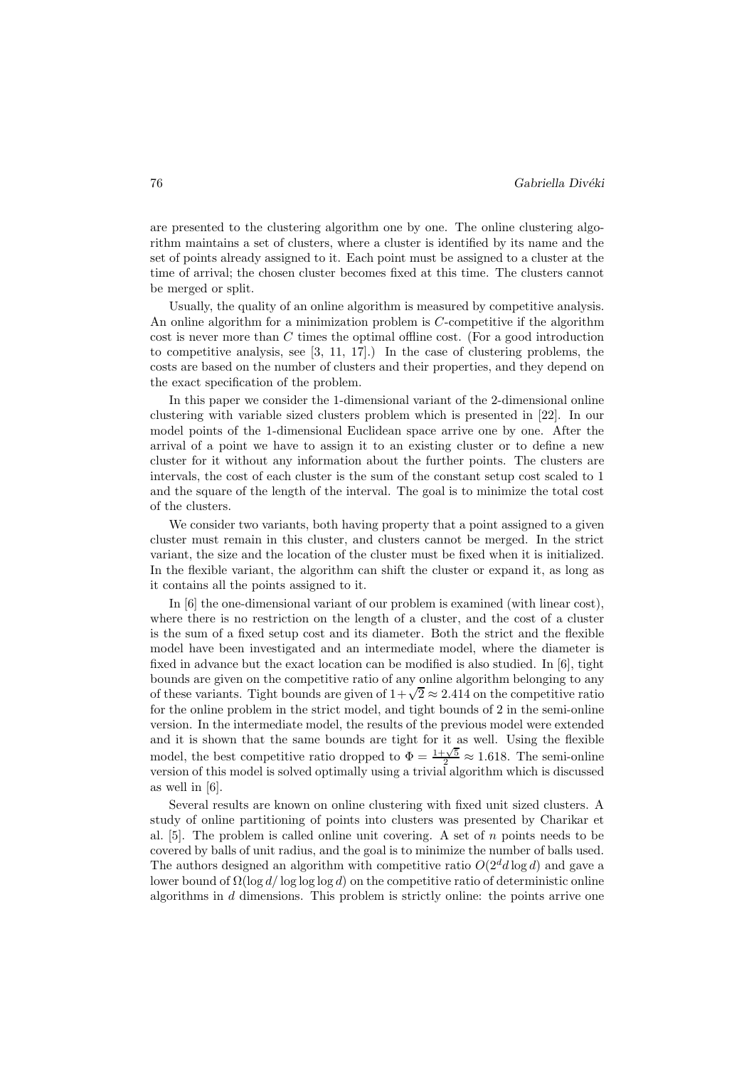are presented to the clustering algorithm one by one. The online clustering algorithm maintains a set of clusters, where a cluster is identified by its name and the set of points already assigned to it. Each point must be assigned to a cluster at the time of arrival; the chosen cluster becomes fixed at this time. The clusters cannot be merged or split.

Usually, the quality of an online algorithm is measured by competitive analysis. An online algorithm for a minimization problem is C-competitive if the algorithm cost is never more than C times the optimal offline cost. (For a good introduction to competitive analysis, see [3, 11, 17].) In the case of clustering problems, the costs are based on the number of clusters and their properties, and they depend on the exact specification of the problem.

In this paper we consider the 1-dimensional variant of the 2-dimensional online clustering with variable sized clusters problem which is presented in [22]. In our model points of the 1-dimensional Euclidean space arrive one by one. After the arrival of a point we have to assign it to an existing cluster or to define a new cluster for it without any information about the further points. The clusters are intervals, the cost of each cluster is the sum of the constant setup cost scaled to 1 and the square of the length of the interval. The goal is to minimize the total cost of the clusters.

We consider two variants, both having property that a point assigned to a given cluster must remain in this cluster, and clusters cannot be merged. In the strict variant, the size and the location of the cluster must be fixed when it is initialized. In the flexible variant, the algorithm can shift the cluster or expand it, as long as it contains all the points assigned to it.

In [6] the one-dimensional variant of our problem is examined (with linear cost), where there is no restriction on the length of a cluster, and the cost of a cluster is the sum of a fixed setup cost and its diameter. Both the strict and the flexible model have been investigated and an intermediate model, where the diameter is fixed in advance but the exact location can be modified is also studied. In [6], tight bounds are given on the competitive ratio of any online algorithm belonging to any of these variants. Tight bounds are given of  $1 + \sqrt{2} \approx 2.414$  on the competitive ratio for the online problem in the strict model, and tight bounds of 2 in the semi-online version. In the intermediate model, the results of the previous model were extended and it is shown that the same bounds are tight for it as well. Using the flexible model, the best competitive ratio dropped to  $\Phi = \frac{1+\sqrt{5}}{2} \approx 1.618$ . The semi-online version of this model is solved optimally using a trivial algorithm which is discussed as well in [6].

Several results are known on online clustering with fixed unit sized clusters. A study of online partitioning of points into clusters was presented by Charikar et al.  $[5]$ . The problem is called online unit covering. A set of n points needs to be covered by balls of unit radius, and the goal is to minimize the number of balls used. The authors designed an algorithm with competitive ratio  $O(2^d d \log d)$  and gave a lower bound of  $\Omega(\log d/\log \log \log d)$  on the competitive ratio of deterministic online algorithms in d dimensions. This problem is strictly online: the points arrive one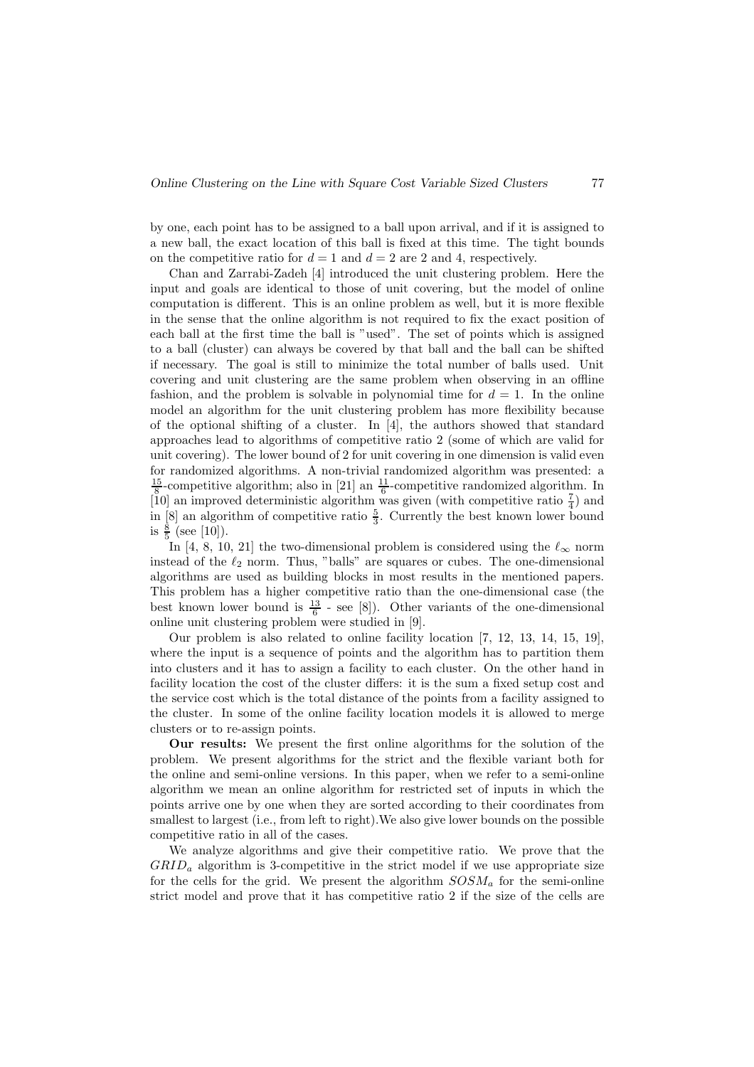by one, each point has to be assigned to a ball upon arrival, and if it is assigned to a new ball, the exact location of this ball is fixed at this time. The tight bounds on the competitive ratio for  $d = 1$  and  $d = 2$  are 2 and 4, respectively.

Chan and Zarrabi-Zadeh [4] introduced the unit clustering problem. Here the input and goals are identical to those of unit covering, but the model of online computation is different. This is an online problem as well, but it is more flexible in the sense that the online algorithm is not required to fix the exact position of each ball at the first time the ball is "used". The set of points which is assigned to a ball (cluster) can always be covered by that ball and the ball can be shifted if necessary. The goal is still to minimize the total number of balls used. Unit covering and unit clustering are the same problem when observing in an offline fashion, and the problem is solvable in polynomial time for  $d = 1$ . In the online model an algorithm for the unit clustering problem has more flexibility because of the optional shifting of a cluster. In [4], the authors showed that standard approaches lead to algorithms of competitive ratio 2 (some of which are valid for unit covering). The lower bound of 2 for unit covering in one dimension is valid even for randomized algorithms. A non-trivial randomized algorithm was presented: a  $\frac{15}{8}$ -competitive algorithm; also in [21] an  $\frac{11}{6}$ -competitive randomized algorithm. In [10] an improved deterministic algorithm was given (with competitive ratio  $\frac{7}{4}$ ) and in  $[8]$  an algorithm of competitive ratio  $\frac{5}{3}$ . Currently the best known lower bound is  $\frac{8}{5}$  (see [10]).

In [4, 8, 10, 21] the two-dimensional problem is considered using the  $\ell_{\infty}$  norm instead of the  $\ell_2$  norm. Thus, "balls" are squares or cubes. The one-dimensional algorithms are used as building blocks in most results in the mentioned papers. This problem has a higher competitive ratio than the one-dimensional case (the best known lower bound is  $\frac{13}{6}$  - see [8]). Other variants of the one-dimensional online unit clustering problem were studied in [9].

Our problem is also related to online facility location [7, 12, 13, 14, 15, 19], where the input is a sequence of points and the algorithm has to partition them into clusters and it has to assign a facility to each cluster. On the other hand in facility location the cost of the cluster differs: it is the sum a fixed setup cost and the service cost which is the total distance of the points from a facility assigned to the cluster. In some of the online facility location models it is allowed to merge clusters or to re-assign points.

Our results: We present the first online algorithms for the solution of the problem. We present algorithms for the strict and the flexible variant both for the online and semi-online versions. In this paper, when we refer to a semi-online algorithm we mean an online algorithm for restricted set of inputs in which the points arrive one by one when they are sorted according to their coordinates from smallest to largest (i.e., from left to right).We also give lower bounds on the possible competitive ratio in all of the cases.

We analyze algorithms and give their competitive ratio. We prove that the  $GRID<sub>a</sub>$  algorithm is 3-competitive in the strict model if we use appropriate size for the cells for the grid. We present the algorithm  $SOSM_a$  for the semi-online strict model and prove that it has competitive ratio 2 if the size of the cells are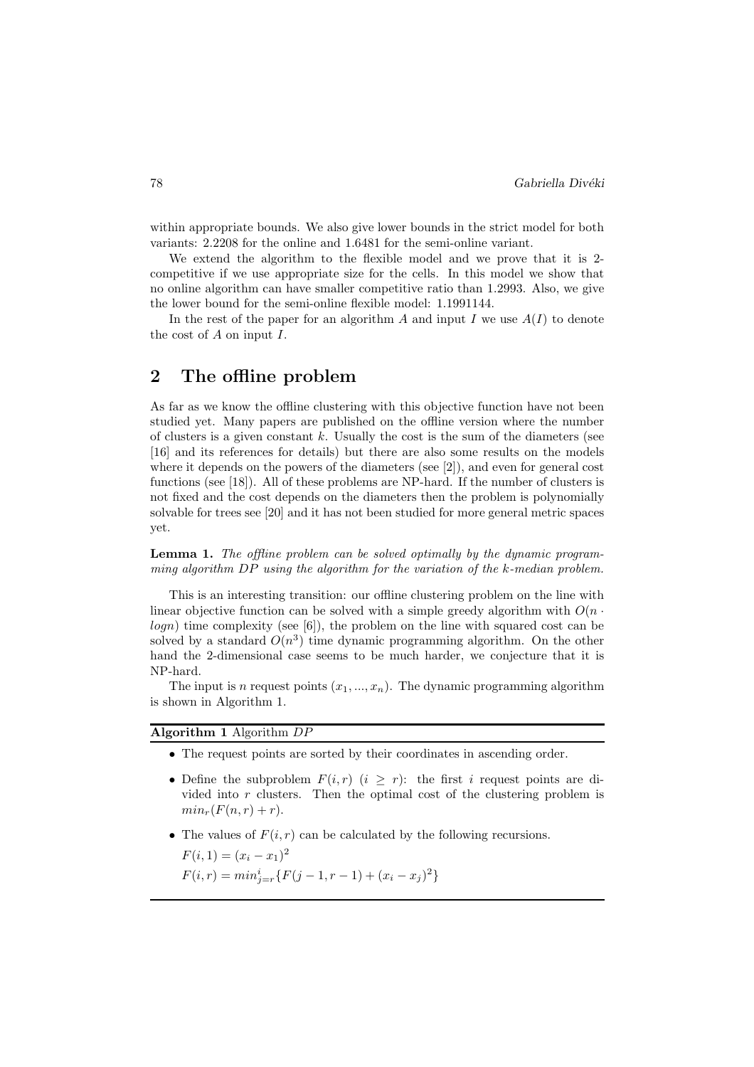within appropriate bounds. We also give lower bounds in the strict model for both variants: 2.2208 for the online and 1.6481 for the semi-online variant.

We extend the algorithm to the flexible model and we prove that it is 2 competitive if we use appropriate size for the cells. In this model we show that no online algorithm can have smaller competitive ratio than 1.2993. Also, we give the lower bound for the semi-online flexible model: 1.1991144.

In the rest of the paper for an algorithm A and input I we use  $A(I)$  to denote the cost of  $A$  on input  $I$ .

## 2 The offline problem

As far as we know the offline clustering with this objective function have not been studied yet. Many papers are published on the offline version where the number of clusters is a given constant  $k$ . Usually the cost is the sum of the diameters (see [16] and its references for details) but there are also some results on the models where it depends on the powers of the diameters (see [2]), and even for general cost functions (see [18]). All of these problems are NP-hard. If the number of clusters is not fixed and the cost depends on the diameters then the problem is polynomially solvable for trees see [20] and it has not been studied for more general metric spaces yet.

Lemma 1. The offline problem can be solved optimally by the dynamic programming algorithm DP using the algorithm for the variation of the k-median problem.

This is an interesting transition: our offline clustering problem on the line with linear objective function can be solved with a simple greedy algorithm with  $O(n \cdot$  $logn)$  time complexity (see [6]), the problem on the line with squared cost can be solved by a standard  $O(n^3)$  time dynamic programming algorithm. On the other hand the 2-dimensional case seems to be much harder, we conjecture that it is NP-hard.

The input is n request points  $(x_1, ..., x_n)$ . The dynamic programming algorithm is shown in Algorithm 1.

Algorithm 1 Algorithm DP

- The request points are sorted by their coordinates in ascending order.
- Define the subproblem  $F(i, r)$   $(i \geq r)$ : the first i request points are divided into r clusters. Then the optimal cost of the clustering problem is  $min<sub>r</sub>(F(n,r) + r).$
- The values of  $F(i, r)$  can be calculated by the following recursions.

 $F(i, 1) = (x_i - x_1)^2$  $F(i,r) = min_{j=r}^{i} \{ F(j-1,r-1) + (x_i - x_j)^2 \}$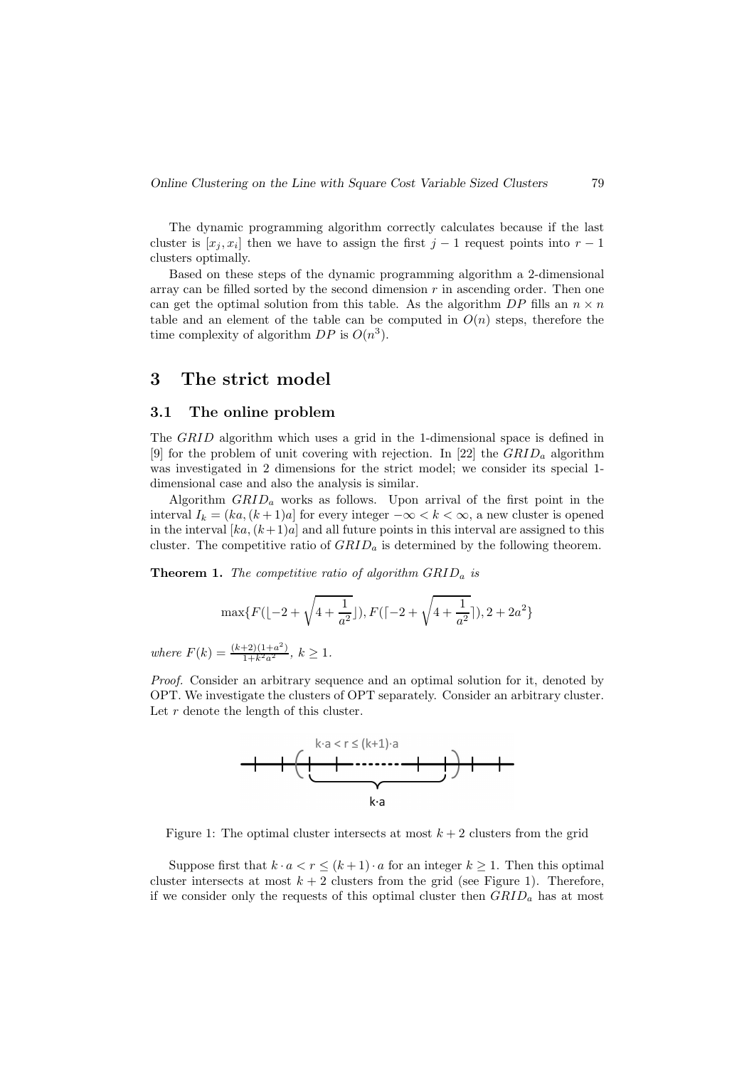The dynamic programming algorithm correctly calculates because if the last cluster is  $[x_j, x_i]$  then we have to assign the first  $j-1$  request points into  $r-1$ clusters optimally.

Based on these steps of the dynamic programming algorithm a 2-dimensional array can be filled sorted by the second dimension  $r$  in ascending order. Then one can get the optimal solution from this table. As the algorithm DP fills an  $n \times n$ table and an element of the table can be computed in  $O(n)$  steps, therefore the time complexity of algorithm  $DP$  is  $O(n^3)$ .

# 3 The strict model

#### 3.1 The online problem

The *GRID* algorithm which uses a grid in the 1-dimensional space is defined in [9] for the problem of unit covering with rejection. In [22] the  $GRID<sub>a</sub>$  algorithm was investigated in 2 dimensions for the strict model; we consider its special 1 dimensional case and also the analysis is similar.

Algorithm  $GRID<sub>a</sub>$  works as follows. Upon arrival of the first point in the interval  $I_k = (ka, (k+1)a]$  for every integer  $-\infty < k < \infty$ , a new cluster is opened in the interval  $[ka,(k+1)a]$  and all future points in this interval are assigned to this cluster. The competitive ratio of  $GRID<sub>a</sub>$  is determined by the following theorem.

**Theorem 1.** The competitive ratio of algorithm  $GRID<sub>a</sub>$  is

$$
\max\{F(\lfloor -2 + \sqrt{4 + \frac{1}{a^2}} \rfloor), F(\lceil -2 + \sqrt{4 + \frac{1}{a^2}} \rceil), 2 + 2a^2\}
$$

where  $F(k) = \frac{(k+2)(1+a^2)}{1+k^2a^2}$ ,  $k \ge 1$ .

Proof. Consider an arbitrary sequence and an optimal solution for it, denoted by OPT. We investigate the clusters of OPT separately. Consider an arbitrary cluster. Let  $r$  denote the length of this cluster.



Figure 1: The optimal cluster intersects at most  $k + 2$  clusters from the grid

Suppose first that  $k \cdot a < r \leq (k+1) \cdot a$  for an integer  $k \geq 1$ . Then this optimal cluster intersects at most  $k + 2$  clusters from the grid (see Figure 1). Therefore, if we consider only the requests of this optimal cluster then  $GRID<sub>a</sub>$  has at most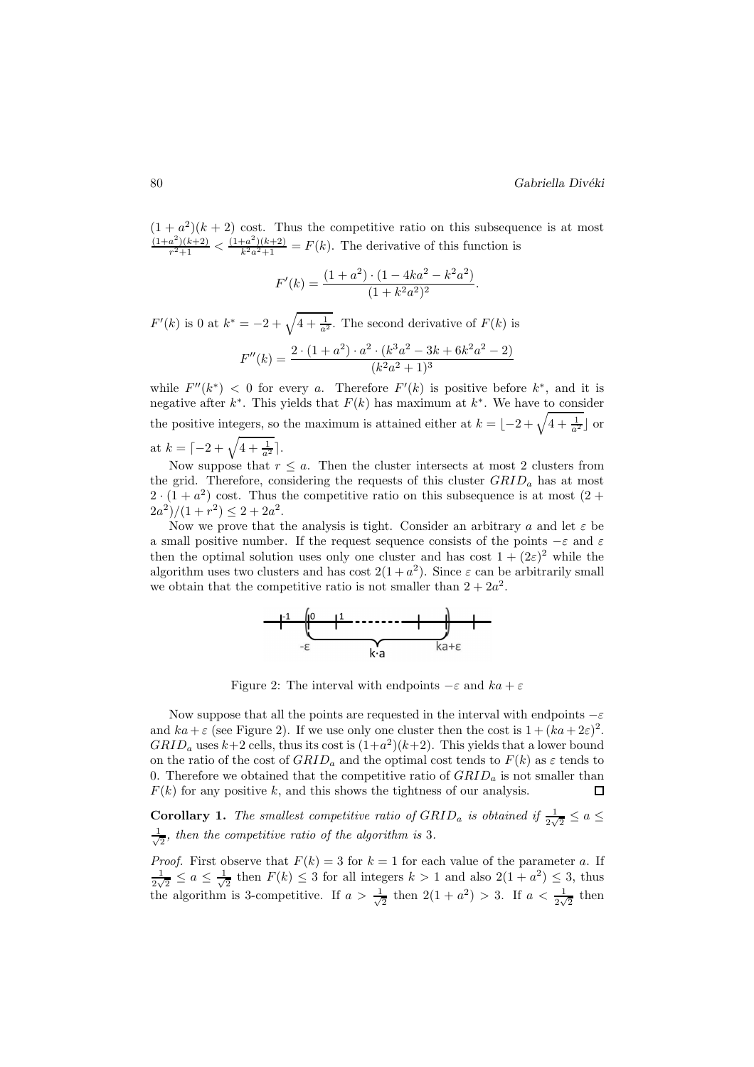$(1 + a<sup>2</sup>)(k + 2)$  cost. Thus the competitive ratio on this subsequence is at most  $(1+a^2)(k+2)$  $\frac{a^2(k+2)}{r^2+1} < \frac{(1+a^2)(k+2)}{k^2a^2+1} = F(k)$ . The derivative of this function is

$$
F'(k) = \frac{(1+a^2) \cdot (1 - 4ka^2 - k^2a^2)}{(1 + k^2a^2)^2}.
$$

 $F'(k)$  is 0 at  $k^* = -2 + \sqrt{4 + \frac{1}{a^2}}$ . The second derivative of  $F(k)$  is  $F''(k) = \frac{2 \cdot (1+a^2) \cdot a^2 \cdot (k^3 a^2 - 3k + 6k^2 a^2 - 2)}{(12 \cdot 3 + 1)^3}$  $(k^2a^2+1)^3$ 

while  $F''(k^*) < 0$  for every a. Therefore  $F'(k)$  is positive before  $k^*$ , and it is negative after  $k^*$ . This yields that  $F(k)$  has maximum at  $k^*$ . We have to consider the positive integers, so the maximum is attained either at  $k = \lfloor -2 + \sqrt{4 + \frac{1}{a^2}} \rfloor$  or at  $k = \lceil -2 + \sqrt{4 + \frac{1}{a^2}} \rceil$ .

Now suppose that  $r \leq a$ . Then the cluster intersects at most 2 clusters from the grid. Therefore, considering the requests of this cluster  $GRID_a$  has at most  $2 \cdot (1 + a^2)$  cost. Thus the competitive ratio on this subsequence is at most  $(2 + a^2)$  $\frac{2a^2}{1 + r^2} \leq 2 + 2a^2.$ 

Now we prove that the analysis is tight. Consider an arbitrary a and let  $\varepsilon$  be a small positive number. If the request sequence consists of the points  $-\varepsilon$  and  $\varepsilon$ then the optimal solution uses only one cluster and has cost  $1 + (2\varepsilon)^2$  while the algorithm uses two clusters and has cost  $2(1+a^2)$ . Since  $\varepsilon$  can be arbitrarily small we obtain that the competitive ratio is not smaller than  $2 + 2a^2$ .



Figure 2: The interval with endpoints  $-\varepsilon$  and  $ka + \varepsilon$ 

Now suppose that all the points are requested in the interval with endpoints  $-\varepsilon$ and  $ka + \varepsilon$  (see Figure 2). If we use only one cluster then the cost is  $1 + (ka + 2\varepsilon)^2$ .  $GRID<sub>a</sub>$  uses  $k+2$  cells, thus its cost is  $(1+a<sup>2</sup>)(k+2)$ . This yields that a lower bound on the ratio of the cost of  $GRID<sub>a</sub>$  and the optimal cost tends to  $F(k)$  as  $\varepsilon$  tends to 0. Therefore we obtained that the competitive ratio of  $GRID_a$  is not smaller than  $F(k)$  for any positive k, and this shows the tightness of our analysis. 口

**Corollary 1.** The smallest competitive ratio of  $GRID_a$  is obtained if  $\frac{1}{2\sqrt{2}} \le a \le$ √ 1  $\frac{1}{2}$ , then the competitive ratio of the algorithm is 3.

*Proof.* First observe that  $F(k) = 3$  for  $k = 1$  for each value of the parameter a. If  $\frac{1}{k} < a < \frac{1}{k}$  then  $F(k) < 3$  for all integers  $k > 1$  and also  $2(1 + a^2) < 3$  thus  $\frac{1}{2\sqrt{2}} \leq a \leq \frac{1}{\sqrt{2}}$  $\frac{1}{2}$  then  $F(k) \leq 3$  for all integers  $k > 1$  and also  $2(1 + a^2) \leq 3$ , thus the algorithm is 3-competitive. If  $a > \frac{1}{\sqrt{2}}$  $\frac{1}{2}$  then  $2(1+a^2) > 3$ . If  $a < \frac{1}{2\sqrt{2}}$  then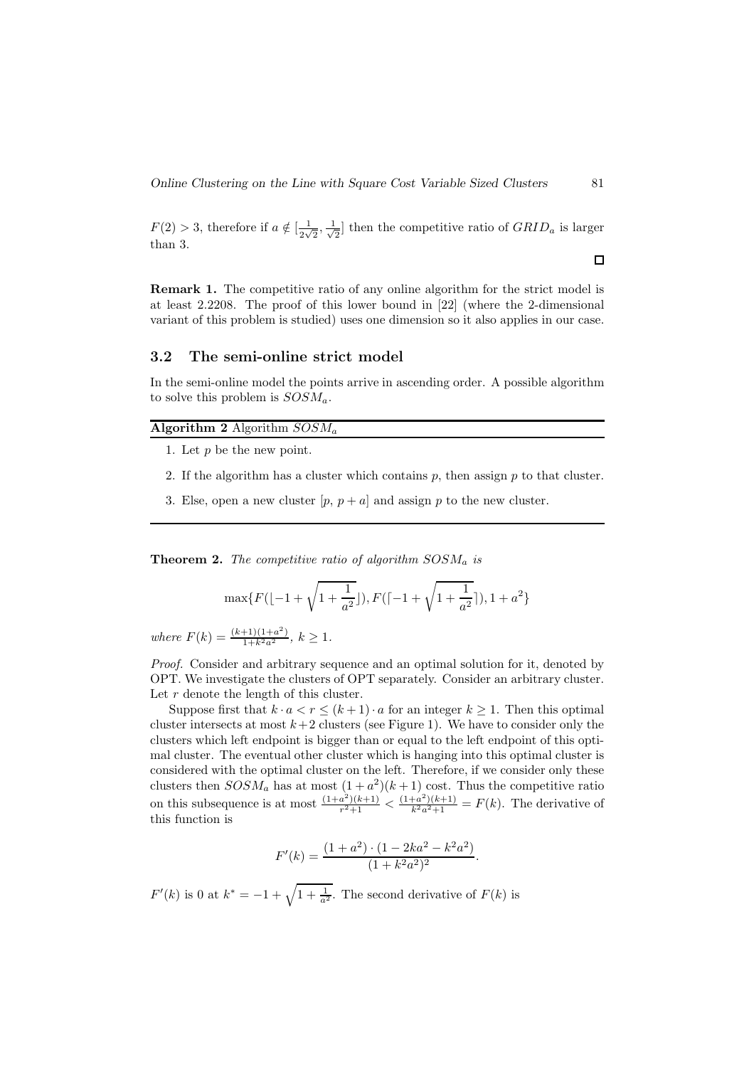$F(2) > 3$ , therefore if  $a \notin \left[\frac{1}{2\sqrt{2}}\right]$  $\frac{1}{2\sqrt{2}}, \frac{1}{\sqrt{2}}$  $\frac{1}{2}$  then the competitive ratio of  $GRID_a$  is larger than 3.

Remark 1. The competitive ratio of any online algorithm for the strict model is at least 2.2208. The proof of this lower bound in [22] (where the 2-dimensional variant of this problem is studied) uses one dimension so it also applies in our case.

#### 3.2 The semi-online strict model

In the semi-online model the points arrive in ascending order. A possible algorithm to solve this problem is  $SOSM_a$ .

#### Algorithm 2 Algorithm  $SOSM_a$

- 1. Let  $p$  be the new point.
- 2. If the algorithm has a cluster which contains  $p$ , then assign  $p$  to that cluster.
- 3. Else, open a new cluster  $[p, p + a]$  and assign p to the new cluster.

**Theorem 2.** The competitive ratio of algorithm  $SOSM_a$  is

$$
\max\{F(\lfloor -1+\sqrt{1+\frac{1}{a^2}}\rfloor), F(\lceil -1+\sqrt{1+\frac{1}{a^2}}\rceil), 1+a^2\}
$$

where  $F(k) = \frac{(k+1)(1+a^2)}{1+k^2a^2}$ ,  $k \ge 1$ .

Proof. Consider and arbitrary sequence and an optimal solution for it, denoted by OPT. We investigate the clusters of OPT separately. Consider an arbitrary cluster. Let  $r$  denote the length of this cluster.

Suppose first that  $k \cdot a < r \leq (k+1) \cdot a$  for an integer  $k \geq 1$ . Then this optimal cluster intersects at most  $k+2$  clusters (see Figure 1). We have to consider only the clusters which left endpoint is bigger than or equal to the left endpoint of this optimal cluster. The eventual other cluster which is hanging into this optimal cluster is considered with the optimal cluster on the left. Therefore, if we consider only these clusters then  $SOSM_a$  has at most  $(1+a^2)(k+1)$  cost. Thus the competitive ratio on this subsequence is at most  $\frac{(1+a^2)(k+1)}{r^2+1}$  $\frac{a^2(k+1)}{r^2+1} < \frac{(1+a^2)(k+1)}{k^2a^2+1} = F(k)$ . The derivative of this function is

$$
F'(k) = \frac{(1+a^2) \cdot (1 - 2ka^2 - k^2a^2)}{(1 + k^2a^2)^2}.
$$

 $F'(k)$  is 0 at  $k^* = -1 + \sqrt{1 + \frac{1}{a^2}}$ . The second derivative of  $F(k)$  is

 $\Box$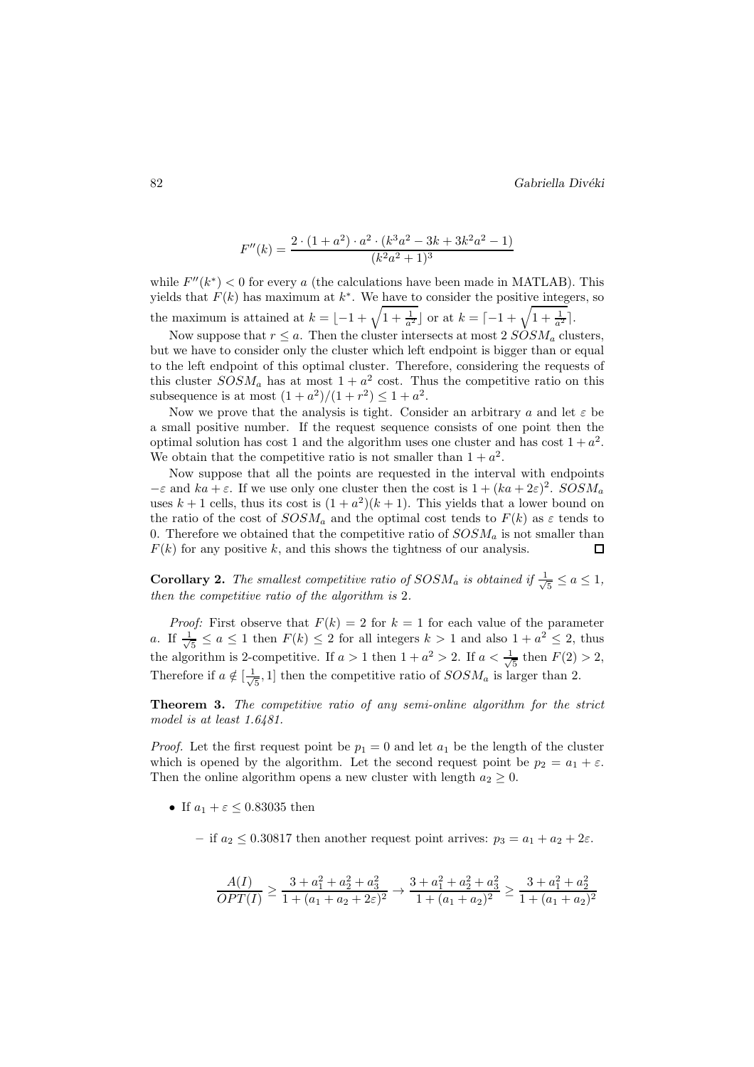$$
F''(k) = \frac{2 \cdot (1 + a^2) \cdot a^2 \cdot (k^3 a^2 - 3k + 3k^2 a^2 - 1)}{(k^2 a^2 + 1)^3}
$$

while  $F''(k^*)$  < 0 for every a (the calculations have been made in MATLAB). This yields that  $F(k)$  has maximum at  $k^*$ . We have to consider the positive integers, so the maximum is attained at  $k = \lfloor -1 + \sqrt{1 + \frac{1}{a^2}} \rfloor$  or at  $k = \lceil -1 + \sqrt{1 + \frac{1}{a^2}} \rceil$ .

Now suppose that  $r \le a$ . Then the cluster intersects at most 2  $SOSM_a$  clusters, but we have to consider only the cluster which left endpoint is bigger than or equal to the left endpoint of this optimal cluster. Therefore, considering the requests of this cluster  $SOSM_a$  has at most  $1 + a^2$  cost. Thus the competitive ratio on this subsequence is at most  $(1 + a^2)/(1 + r^2) \le 1 + a^2$ .

Now we prove that the analysis is tight. Consider an arbitrary a and let  $\varepsilon$  be a small positive number. If the request sequence consists of one point then the optimal solution has cost 1 and the algorithm uses one cluster and has cost  $1 + a^2$ . We obtain that the competitive ratio is not smaller than  $1 + a^2$ .

Now suppose that all the points are requested in the interval with endpoints  $-\varepsilon$  and  $ka + \varepsilon$ . If we use only one cluster then the cost is  $1 + (ka + 2\varepsilon)^2$ .  $SOSM_a$ uses  $k+1$  cells, thus its cost is  $(1+a^2)(k+1)$ . This yields that a lower bound on the ratio of the cost of  $SOSM_a$  and the optimal cost tends to  $F(k)$  as  $\varepsilon$  tends to 0. Therefore we obtained that the competitive ratio of  $SOSM_a$  is not smaller than  $F(k)$  for any positive k, and this shows the tightness of our analysis.  $\Box$ 

**Corollary 2.** The smallest competitive ratio of  $SOSM_a$  is obtained if  $\frac{1}{\sqrt{2}}$  $\frac{1}{5} \leq a \leq 1$ , then the competitive ratio of the algorithm is 2.

*Proof:* First observe that  $F(k) = 2$  for  $k = 1$  for each value of the parameter a. If  $\frac{1}{\sqrt{2}}$  $\frac{1}{5} \le a \le 1$  then  $F(k) \le 2$  for all integers  $k > 1$  and also  $1 + a^2 \le 2$ , thus the algorithm is 2-competitive. If  $a > 1$  then  $1 + a^2 > 2$ . If  $a < \frac{1}{\sqrt{2}}$  $\frac{1}{5}$  then  $F(2) > 2$ , Therefore if  $a \notin [\frac{1}{\sqrt{2}}]$  $\frac{1}{5}$ , 1] then the competitive ratio of  $SOSM_a$  is larger than 2.

Theorem 3. The competitive ratio of any semi-online algorithm for the strict model is at least 1.6481.

*Proof.* Let the first request point be  $p_1 = 0$  and let  $a_1$  be the length of the cluster which is opened by the algorithm. Let the second request point be  $p_2 = a_1 + \varepsilon$ . Then the online algorithm opens a new cluster with length  $a_2 \geq 0$ .

- If  $a_1 + \varepsilon \leq 0.83035$  then
	- if  $a_2 \leq 0.30817$  then another request point arrives:  $p_3 = a_1 + a_2 + 2\varepsilon$ .

$$
\frac{A(I)}{OPT(I)} \ge \frac{3 + a_1^2 + a_2^2 + a_3^2}{1 + (a_1 + a_2 + 2\varepsilon)^2} \to \frac{3 + a_1^2 + a_2^2 + a_3^2}{1 + (a_1 + a_2)^2} \ge \frac{3 + a_1^2 + a_2^2}{1 + (a_1 + a_2)^2}
$$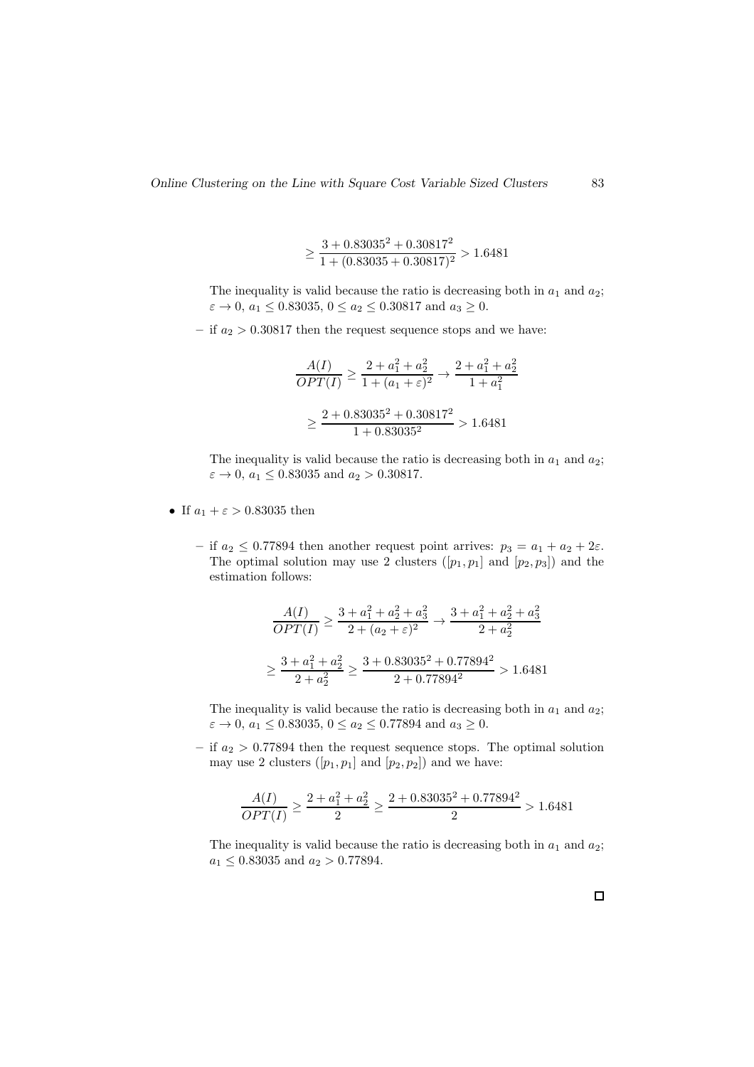$$
\geq \frac{3 + 0.83035^2 + 0.30817^2}{1 + (0.83035 + 0.30817)^2} > 1.6481
$$

The inequality is valid because the ratio is decreasing both in  $a_1$  and  $a_2$ ;  $\varepsilon \to 0$ ,  $a_1 \le 0.83035$ ,  $0 \le a_2 \le 0.30817$  and  $a_3 \ge 0$ .

– if  $a_2 > 0.30817$  then the request sequence stops and we have:

$$
\frac{A(I)}{OPT(I)} \ge \frac{2 + a_1^2 + a_2^2}{1 + (a_1 + \varepsilon)^2} \to \frac{2 + a_1^2 + a_2^2}{1 + a_1^2}
$$

$$
\ge \frac{2 + 0.83035^2 + 0.30817^2}{1 + 0.83035^2} > 1.6481
$$

The inequality is valid because the ratio is decreasing both in  $a_1$  and  $a_2$ ;  $\varepsilon \to 0$ ,  $a_1 \le 0.83035$  and  $a_2 > 0.30817$ .

- If  $a_1 + \varepsilon > 0.83035$  then
	- if  $a_2 \le 0.77894$  then another request point arrives:  $p_3 = a_1 + a_2 + 2\varepsilon$ . The optimal solution may use 2 clusters  $([p_1, p_1]$  and  $[p_2, p_3]$  and the estimation follows:

$$
\frac{A(I)}{OPT(I)} \ge \frac{3 + a_1^2 + a_2^2 + a_3^2}{2 + (a_2 + \varepsilon)^2} \to \frac{3 + a_1^2 + a_2^2 + a_3^2}{2 + a_2^2}
$$

$$
\ge \frac{3 + a_1^2 + a_2^2}{2 + a_2^2} \ge \frac{3 + 0.83035^2 + 0.77894^2}{2 + 0.77894^2} > 1.6481
$$

The inequality is valid because the ratio is decreasing both in  $a_1$  and  $a_2$ ;  $\varepsilon \to 0$ ,  $a_1 \le 0.83035$ ,  $0 \le a_2 \le 0.77894$  and  $a_3 \ge 0$ .

– if  $a_2 > 0.77894$  then the request sequence stops. The optimal solution may use 2 clusters  $([p_1, p_1]$  and  $[p_2, p_2]$ ) and we have:

$$
\frac{A(I)}{OPT(I)} \ge \frac{2 + a_1^2 + a_2^2}{2} \ge \frac{2 + 0.83035^2 + 0.77894^2}{2} > 1.6481
$$

The inequality is valid because the ratio is decreasing both in  $a_1$  and  $a_2$ ;  $a_1 \leq 0.83035$  and  $a_2 > 0.77894.$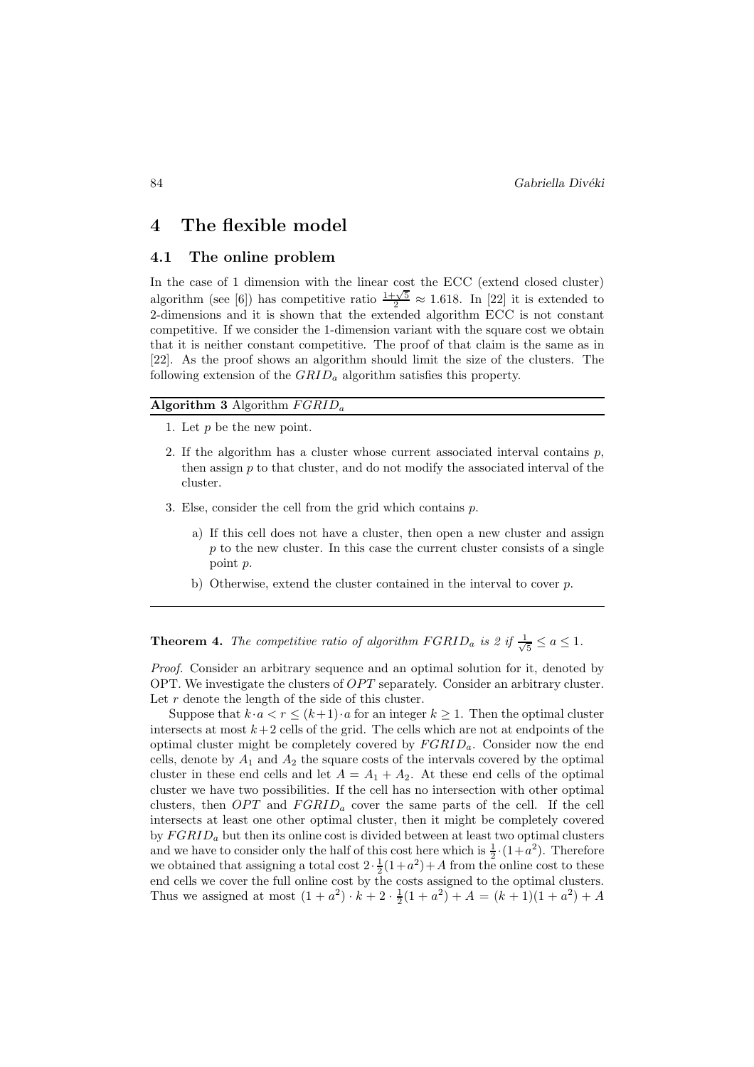### 4 The flexible model

#### 4.1 The online problem

In the case of 1 dimension with the linear cost the ECC (extend closed cluster) algorithm (see [6]) has competitive ratio  $\frac{1+\sqrt{5}}{2} \approx 1.618$ . In [22] it is extended to 2-dimensions and it is shown that the extended algorithm ECC is not constant competitive. If we consider the 1-dimension variant with the square cost we obtain that it is neither constant competitive. The proof of that claim is the same as in [22]. As the proof shows an algorithm should limit the size of the clusters. The following extension of the  $GRID<sub>a</sub>$  algorithm satisfies this property.

#### Algorithm 3 Algorithm  $FGRID<sub>a</sub>$

- 1. Let p be the new point.
- 2. If the algorithm has a cluster whose current associated interval contains  $p$ , then assign  $p$  to that cluster, and do not modify the associated interval of the cluster.
- 3. Else, consider the cell from the grid which contains p.
	- a) If this cell does not have a cluster, then open a new cluster and assign  $p$  to the new cluster. In this case the current cluster consists of a single point p.
	- b) Otherwise, extend the cluster contained in the interval to cover p.

**Theorem 4.** The competitive ratio of algorithm  $FGRID_a$  is 2 if  $\frac{1}{\sqrt{a}}$  $\frac{1}{5} \leq a \leq 1.$ 

Proof. Consider an arbitrary sequence and an optimal solution for it, denoted by OPT. We investigate the clusters of  $OPT$  separately. Consider an arbitrary cluster. Let  $r$  denote the length of the side of this cluster.

Suppose that  $k \cdot a < r \leq (k+1) \cdot a$  for an integer  $k \geq 1$ . Then the optimal cluster intersects at most  $k+2$  cells of the grid. The cells which are not at endpoints of the optimal cluster might be completely covered by  $FGRID_a$ . Consider now the end cells, denote by  $A_1$  and  $A_2$  the square costs of the intervals covered by the optimal cluster in these end cells and let  $A = A_1 + A_2$ . At these end cells of the optimal cluster we have two possibilities. If the cell has no intersection with other optimal clusters, then  $OPT$  and  $FGRID<sub>a</sub>$  cover the same parts of the cell. If the cell intersects at least one other optimal cluster, then it might be completely covered by  $FGRID_a$  but then its online cost is divided between at least two optimal clusters and we have to consider only the half of this cost here which is  $\frac{1}{2} \cdot (1+a^2)$ . Therefore we obtained that assigning a total cost  $2 \cdot \frac{1}{2}(1+a^2) + A$  from the online cost to these end cells we cover the full online cost by the costs assigned to the optimal clusters. Thus we assigned at most  $(1 + a^2) \cdot k + 2 \cdot \frac{1}{2}(1 + a^2) + A = (k + 1)(1 + a^2) + A$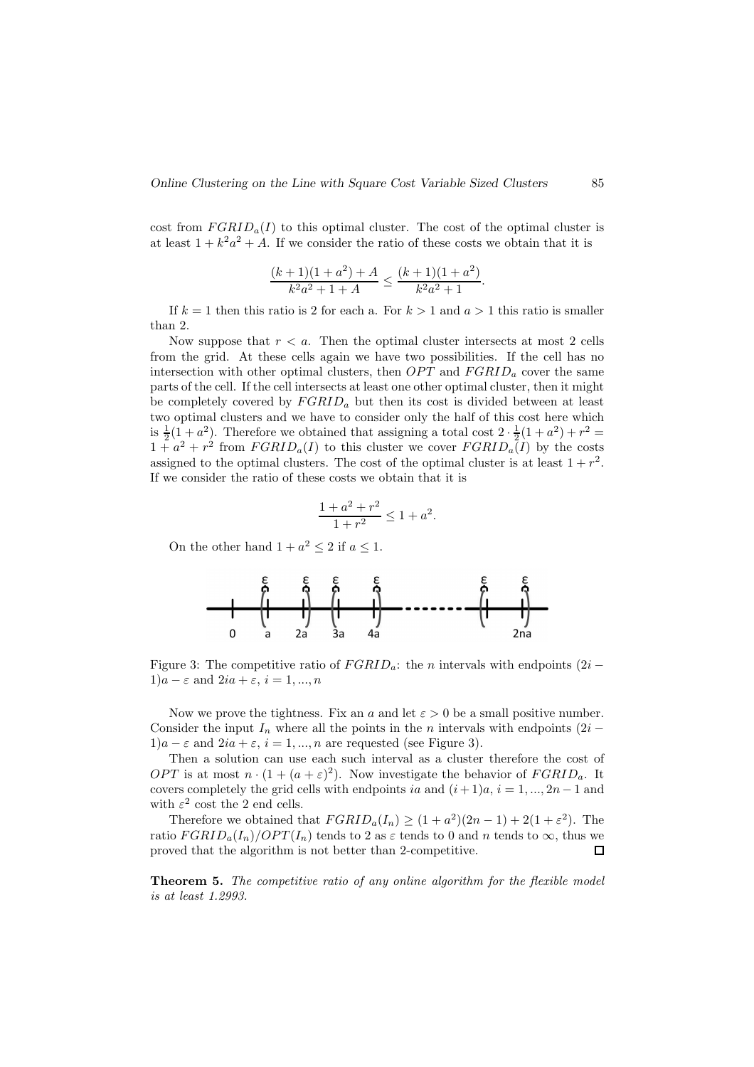cost from  $FGRID_a(I)$  to this optimal cluster. The cost of the optimal cluster is at least  $1 + k^2 a^2 + A$ . If we consider the ratio of these costs we obtain that it is

$$
\frac{(k+1)(1+a^2)+A}{k^2a^2+1+A} \le \frac{(k+1)(1+a^2)}{k^2a^2+1}
$$

.

If  $k = 1$  then this ratio is 2 for each a. For  $k > 1$  and  $a > 1$  this ratio is smaller than 2.

Now suppose that  $r < a$ . Then the optimal cluster intersects at most 2 cells from the grid. At these cells again we have two possibilities. If the cell has no intersection with other optimal clusters, then  $OPT$  and  $FGRID<sub>a</sub>$  cover the same parts of the cell. If the cell intersects at least one other optimal cluster, then it might be completely covered by  $FGRID_a$  but then its cost is divided between at least two optimal clusters and we have to consider only the half of this cost here which is  $\frac{1}{2}(1+a^2)$ . Therefore we obtained that assigning a total cost  $2 \cdot \frac{1}{2}(1+a^2) + r^2 =$  $1 + a^2 + r^2$  from  $FGRID_a(I)$  to this cluster we cover  $FGRID_a(I)$  by the costs assigned to the optimal clusters. The cost of the optimal cluster is at least  $1 + r^2$ . If we consider the ratio of these costs we obtain that it is

$$
\frac{1+a^2+r^2}{1+r^2} \le 1+a^2.
$$

On the other hand  $1 + a^2 \le 2$  if  $a \le 1$ .



Figure 3: The competitive ratio of  $FGRID_a$ : the n intervals with endpoints (2i −  $1)a - \varepsilon$  and  $2ia + \varepsilon$ ,  $i = 1, ..., n$ 

Now we prove the tightness. Fix an a and let  $\varepsilon > 0$  be a small positive number. Consider the input  $I_n$  where all the points in the n intervals with endpoints (2i −  $1)a - \varepsilon$  and  $2ia + \varepsilon$ ,  $i = 1, ..., n$  are requested (see Figure 3).

Then a solution can use each such interval as a cluster therefore the cost of *OPT* is at most  $n \cdot (1 + (a + \varepsilon)^2)$ . Now investigate the behavior of  $FGRID_a$ . It covers completely the grid cells with endpoints ia and  $(i + 1)a$ ,  $i = 1, ..., 2n - 1$  and with  $\varepsilon^2$  cost the 2 end cells.

Therefore we obtained that  $FGRID_a(I_n) \ge (1+a^2)(2n-1) + 2(1+\varepsilon^2)$ . The ratio  $FGRID_a(I_n)/OPT(I_n)$  tends to 2 as  $\varepsilon$  tends to 0 and n tends to  $\infty$ , thus we proved that the algorithm is not better than 2-competitive. proved that the algorithm is not better than 2-competitive.

Theorem 5. The competitive ratio of any online algorithm for the flexible model is at least 1.2993.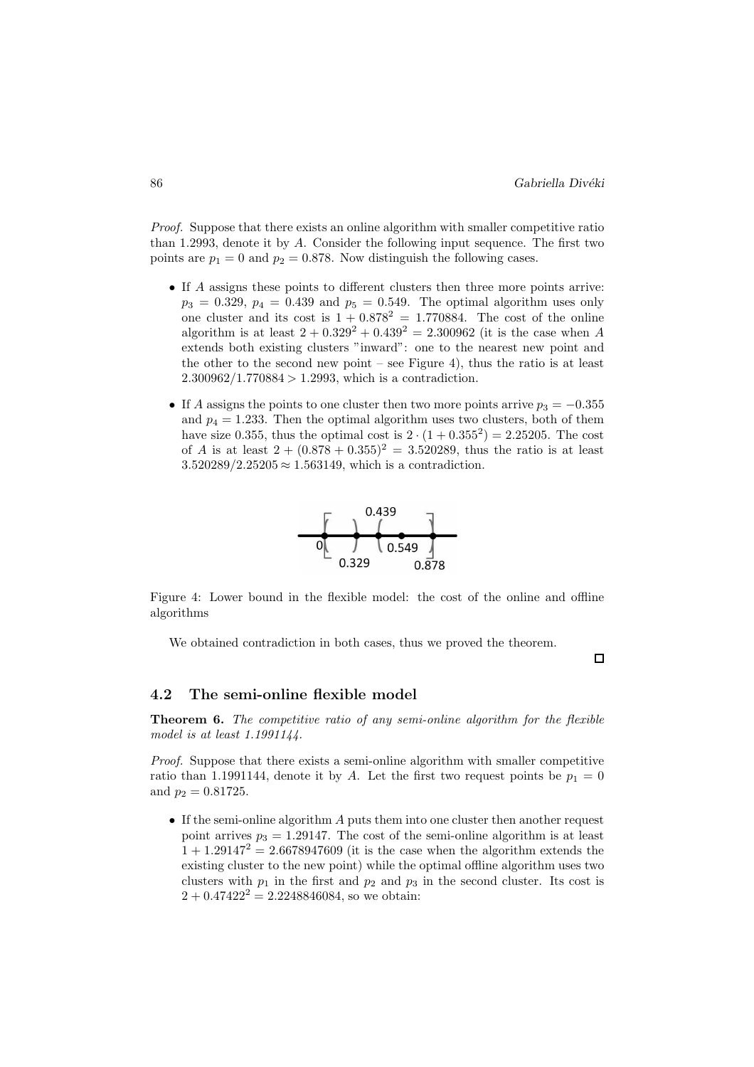Proof. Suppose that there exists an online algorithm with smaller competitive ratio than 1.2993, denote it by A. Consider the following input sequence. The first two points are  $p_1 = 0$  and  $p_2 = 0.878$ . Now distinguish the following cases.

- If A assigns these points to different clusters then three more points arrive:  $p_3 = 0.329$ ,  $p_4 = 0.439$  and  $p_5 = 0.549$ . The optimal algorithm uses only one cluster and its cost is  $1 + 0.878^2 = 1.770884$ . The cost of the online algorithm is at least  $2 + 0.329^2 + 0.439^2 = 2.300962$  (it is the case when A extends both existing clusters "inward": one to the nearest new point and the other to the second new point – see Figure 4), thus the ratio is at least  $2.300962/1.770884 > 1.2993$ , which is a contradiction.
- If A assigns the points to one cluster then two more points arrive  $p_3 = -0.355$ and  $p_4 = 1.233$ . Then the optimal algorithm uses two clusters, both of them have size 0.355, thus the optimal cost is  $2 \cdot (1 + 0.355^2) = 2.25205$ . The cost of A is at least  $2 + (0.878 + 0.355)^2 = 3.520289$ , thus the ratio is at least  $3.520289/2.25205 \approx 1.563149$ , which is a contradiction.



Figure 4: Lower bound in the flexible model: the cost of the online and offline algorithms

We obtained contradiction in both cases, thus we proved the theorem.

 $\Box$ 

#### 4.2 The semi-online flexible model

Theorem 6. The competitive ratio of any semi-online algorithm for the flexible model is at least 1.1991144.

Proof. Suppose that there exists a semi-online algorithm with smaller competitive ratio than 1.1991144, denote it by A. Let the first two request points be  $p_1 = 0$ and  $p_2 = 0.81725$ .

• If the semi-online algorithm A puts them into one cluster then another request point arrives  $p_3 = 1.29147$ . The cost of the semi-online algorithm is at least  $1 + 1.29147^2 = 2.6678947609$  (it is the case when the algorithm extends the existing cluster to the new point) while the optimal offline algorithm uses two clusters with  $p_1$  in the first and  $p_2$  and  $p_3$  in the second cluster. Its cost is  $2 + 0.47422^{2} = 2.2248846084$ , so we obtain: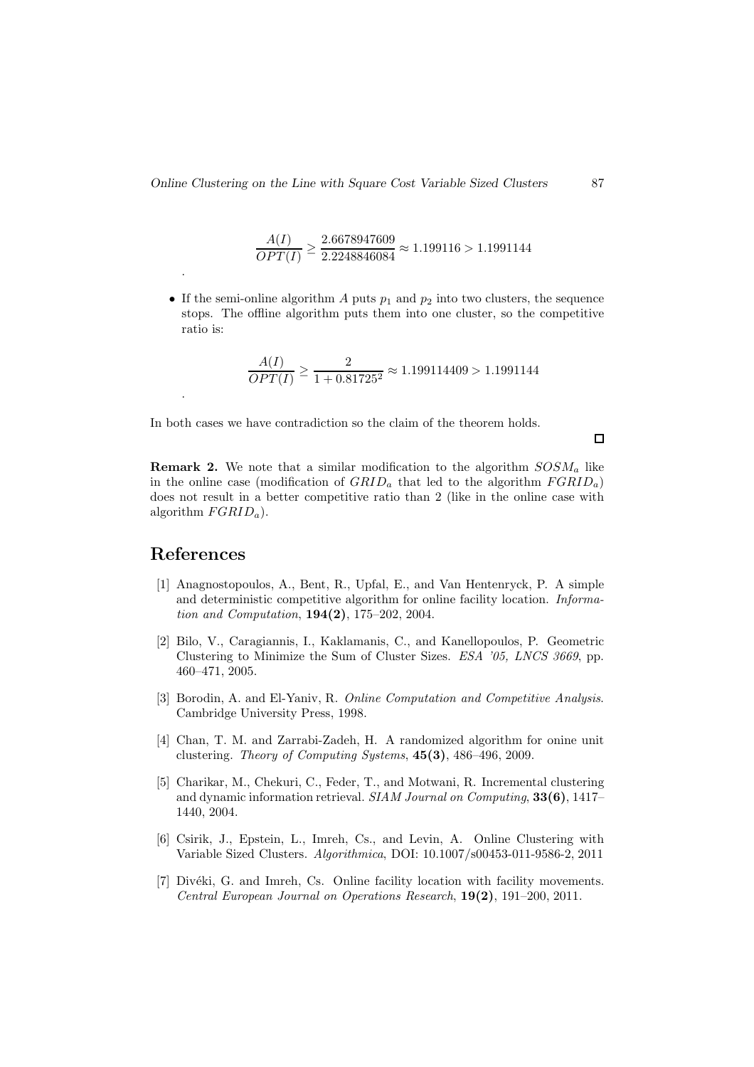$$
\frac{A(I)}{OPT(I)} \ge \frac{2.6678947609}{2.2248846084} \approx 1.199116 > 1.1991144
$$

• If the semi-online algorithm  $A$  puts  $p_1$  and  $p_2$  into two clusters, the sequence stops. The offline algorithm puts them into one cluster, so the competitive ratio is:

$$
\frac{A(I)}{OPT(I)} \ge \frac{2}{1 + 0.81725^2} \approx 1.199114409 > 1.1991144
$$

In both cases we have contradiction so the claim of the theorem holds.

 $\Box$ 

**Remark 2.** We note that a similar modification to the algorithm  $SOSM_a$  like in the online case (modification of  $GRID<sub>a</sub>$  that led to the algorithm  $FGRID<sub>a</sub>$ ) does not result in a better competitive ratio than 2 (like in the online case with algorithm  $FGRID_a$ ).

# References

.

.

- [1] Anagnostopoulos, A., Bent, R., Upfal, E., and Van Hentenryck, P. A simple and deterministic competitive algorithm for online facility location. Information and Computation, 194(2), 175–202, 2004.
- [2] Bilo, V., Caragiannis, I., Kaklamanis, C., and Kanellopoulos, P. Geometric Clustering to Minimize the Sum of Cluster Sizes. ESA '05, LNCS 3669, pp. 460–471, 2005.
- [3] Borodin, A. and El-Yaniv, R. *Online Computation and Competitive Analysis.* Cambridge University Press, 1998.
- [4] Chan, T. M. and Zarrabi-Zadeh, H. A randomized algorithm for onine unit clustering. Theory of Computing Systems, 45(3), 486–496, 2009.
- [5] Charikar, M., Chekuri, C., Feder, T., and Motwani, R. Incremental clustering and dynamic information retrieval. SIAM Journal on Computing, 33(6), 1417– 1440, 2004.
- [6] Csirik, J., Epstein, L., Imreh, Cs., and Levin, A. Online Clustering with Variable Sized Clusters. Algorithmica, DOI: 10.1007/s00453-011-9586-2, 2011
- [7] Divéki, G. and Imreh, Cs. Online facility location with facility movements. Central European Journal on Operations Research, 19(2), 191–200, 2011.